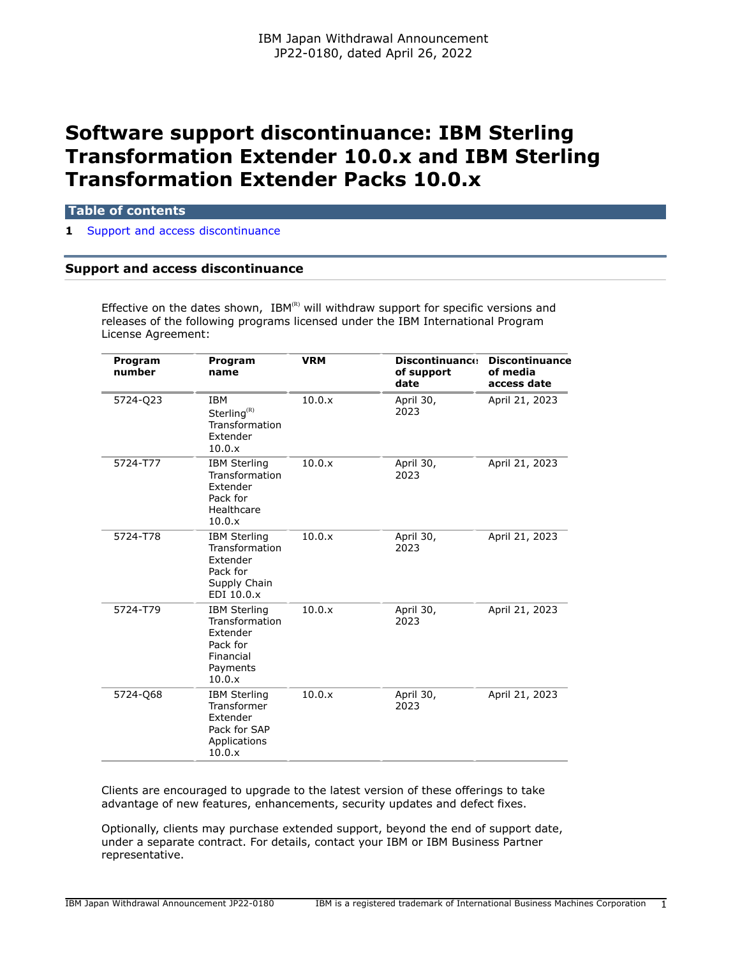# **Software support discontinuance: IBM Sterling Transformation Extender 10.0.x and IBM Sterling Transformation Extender Packs 10.0.x**

## **Table of contents**

**1** [Support and access discontinuance](#page-0-0)

# <span id="page-0-0"></span>**Support and access discontinuance**

Effective on the dates shown,  $IBM^{(R)}$  will withdraw support for specific versions and releases of the following programs licensed under the IBM International Program License Agreement:

| Program<br>number | Program<br>name                                                                                  | <b>VRM</b> | <b>Discontinuance</b><br>of support<br>date | <b>Discontinuance</b><br>of media<br>access date |
|-------------------|--------------------------------------------------------------------------------------------------|------------|---------------------------------------------|--------------------------------------------------|
| 5724-Q23          | <b>IBM</b><br>Sterling <sup>(R)</sup><br>Transformation<br>Extender<br>10.0.x                    | 10.0.x     | April 30,<br>2023                           | April 21, 2023                                   |
| 5724-T77          | <b>IBM Sterling</b><br>Transformation<br>Extender<br>Pack for<br>Healthcare<br>10.0.x            | 10.0.x     | April 30,<br>2023                           | April 21, 2023                                   |
| 5724-T78          | <b>IBM Sterling</b><br>Transformation<br>Extender<br>Pack for<br>Supply Chain<br>EDI 10.0.x      | 10.0.x     | April 30,<br>2023                           | April 21, 2023                                   |
| 5724-T79          | <b>IBM Sterling</b><br>Transformation<br>Extender<br>Pack for<br>Financial<br>Payments<br>10.0.x | 10.0.x     | April 30,<br>2023                           | April 21, 2023                                   |
| 5724-Q68          | <b>IBM Sterling</b><br>Transformer<br>Extender<br>Pack for SAP<br>Applications<br>10.0.x         | 10.0.x     | April 30,<br>2023                           | April 21, 2023                                   |

Clients are encouraged to upgrade to the latest version of these offerings to take advantage of new features, enhancements, security updates and defect fixes.

Optionally, clients may purchase extended support, beyond the end of support date, under a separate contract. For details, contact your IBM or IBM Business Partner representative.